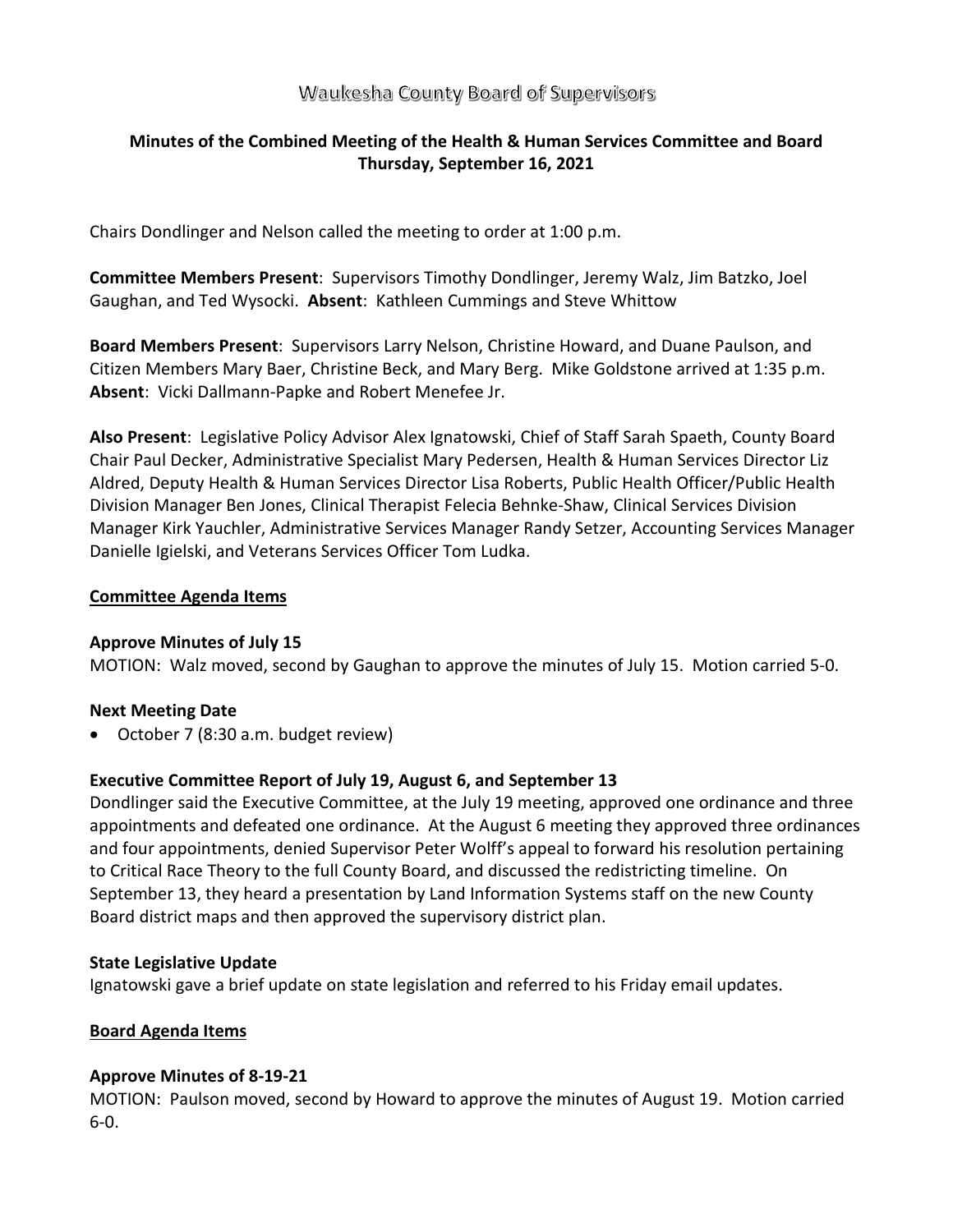# Waukesha County Board of Supervisors

# **Minutes of the Combined Meeting of the Health & Human Services Committee and Board Thursday, September 16, 2021**

Chairs Dondlinger and Nelson called the meeting to order at 1:00 p.m.

**Committee Members Present**: Supervisors Timothy Dondlinger, Jeremy Walz, Jim Batzko, Joel Gaughan, and Ted Wysocki. **Absent**: Kathleen Cummings and Steve Whittow

**Board Members Present**: Supervisors Larry Nelson, Christine Howard, and Duane Paulson, and Citizen Members Mary Baer, Christine Beck, and Mary Berg. Mike Goldstone arrived at 1:35 p.m. **Absent**: Vicki Dallmann-Papke and Robert Menefee Jr.

**Also Present**: Legislative Policy Advisor Alex Ignatowski, Chief of Staff Sarah Spaeth, County Board Chair Paul Decker, Administrative Specialist Mary Pedersen, Health & Human Services Director Liz Aldred, Deputy Health & Human Services Director Lisa Roberts, Public Health Officer/Public Health Division Manager Ben Jones, Clinical Therapist Felecia Behnke-Shaw, Clinical Services Division Manager Kirk Yauchler, Administrative Services Manager Randy Setzer, Accounting Services Manager Danielle Igielski, and Veterans Services Officer Tom Ludka.

## **Committee Agenda Items**

## **Approve Minutes of July 15**

MOTION: Walz moved, second by Gaughan to approve the minutes of July 15. Motion carried 5-0.

## **Next Meeting Date**

• October 7 (8:30 a.m. budget review)

## **Executive Committee Report of July 19, August 6, and September 13**

Dondlinger said the Executive Committee, at the July 19 meeting, approved one ordinance and three appointments and defeated one ordinance. At the August 6 meeting they approved three ordinances and four appointments, denied Supervisor Peter Wolff's appeal to forward his resolution pertaining to Critical Race Theory to the full County Board, and discussed the redistricting timeline. On September 13, they heard a presentation by Land Information Systems staff on the new County Board district maps and then approved the supervisory district plan.

#### **State Legislative Update**

Ignatowski gave a brief update on state legislation and referred to his Friday email updates.

## **Board Agenda Items**

## **Approve Minutes of 8-19-21**

MOTION: Paulson moved, second by Howard to approve the minutes of August 19. Motion carried 6-0.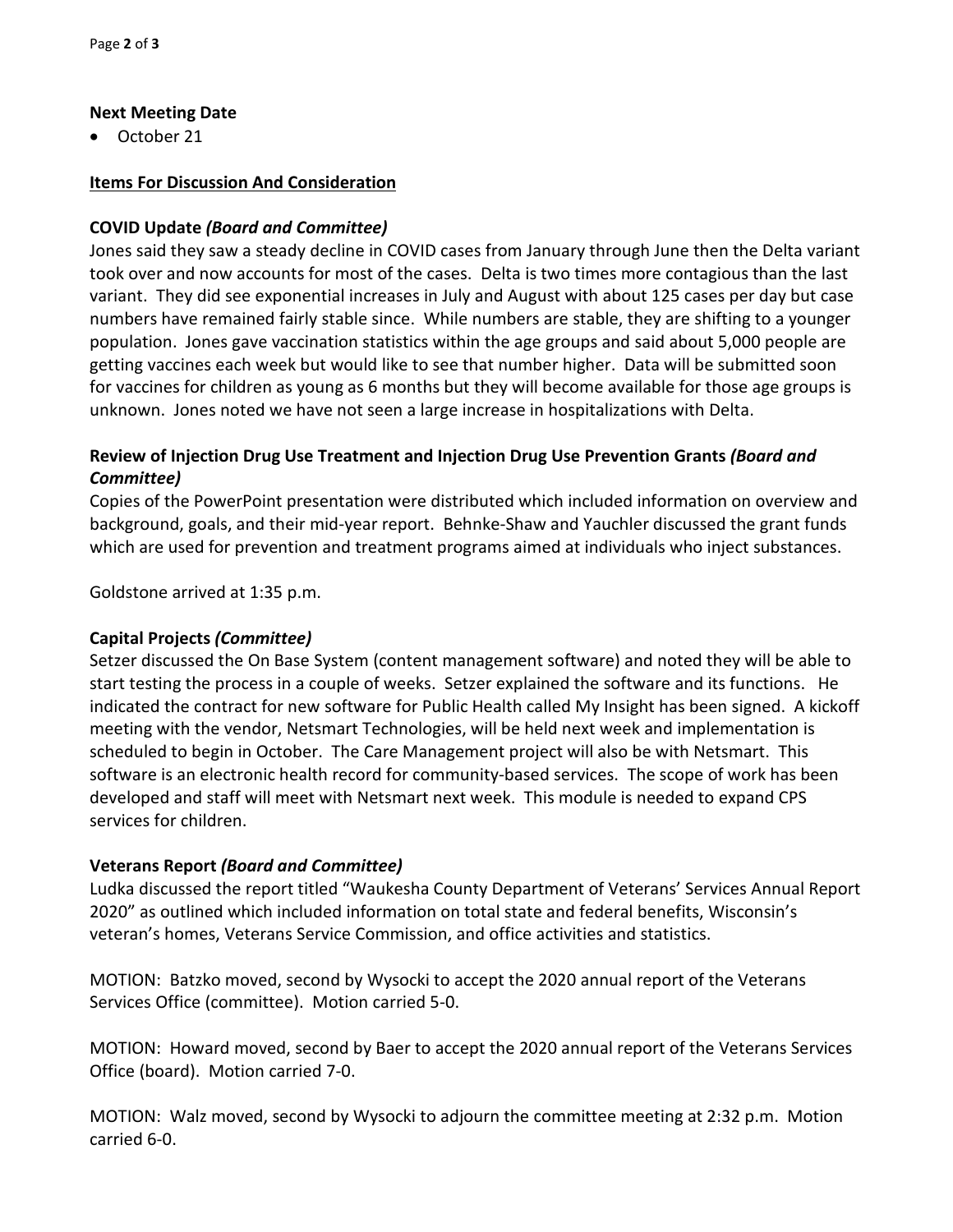# **Next Meeting Date**

• October 21

# **Items For Discussion And Consideration**

# **COVID Update** *(Board and Committee)*

Jones said they saw a steady decline in COVID cases from January through June then the Delta variant took over and now accounts for most of the cases. Delta is two times more contagious than the last variant. They did see exponential increases in July and August with about 125 cases per day but case numbers have remained fairly stable since. While numbers are stable, they are shifting to a younger population. Jones gave vaccination statistics within the age groups and said about 5,000 people are getting vaccines each week but would like to see that number higher. Data will be submitted soon for vaccines for children as young as 6 months but they will become available for those age groups is unknown. Jones noted we have not seen a large increase in hospitalizations with Delta.

# **Review of Injection Drug Use Treatment and Injection Drug Use Prevention Grants** *(Board and Committee)*

Copies of the PowerPoint presentation were distributed which included information on overview and background, goals, and their mid-year report. Behnke-Shaw and Yauchler discussed the grant funds which are used for prevention and treatment programs aimed at individuals who inject substances.

Goldstone arrived at 1:35 p.m.

# **Capital Projects** *(Committee)*

Setzer discussed the On Base System (content management software) and noted they will be able to start testing the process in a couple of weeks. Setzer explained the software and its functions. He indicated the contract for new software for Public Health called My Insight has been signed. A kickoff meeting with the vendor, Netsmart Technologies, will be held next week and implementation is scheduled to begin in October. The Care Management project will also be with Netsmart. This software is an electronic health record for community-based services. The scope of work has been developed and staff will meet with Netsmart next week. This module is needed to expand CPS services for children.

# **Veterans Report** *(Board and Committee)*

Ludka discussed the report titled "Waukesha County Department of Veterans' Services Annual Report 2020" as outlined which included information on total state and federal benefits, Wisconsin's veteran's homes, Veterans Service Commission, and office activities and statistics.

MOTION: Batzko moved, second by Wysocki to accept the 2020 annual report of the Veterans Services Office (committee). Motion carried 5-0.

MOTION: Howard moved, second by Baer to accept the 2020 annual report of the Veterans Services Office (board). Motion carried 7-0.

MOTION: Walz moved, second by Wysocki to adjourn the committee meeting at 2:32 p.m. Motion carried 6-0.